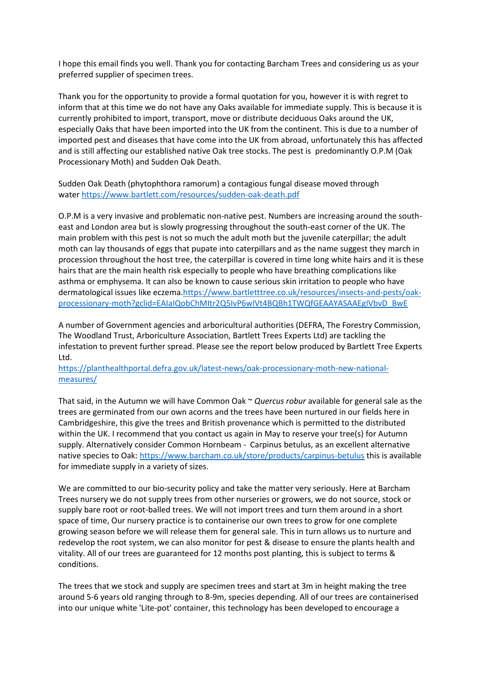I hope this email finds you well. Thank you for contacting Barcham Trees and considering us as your preferred supplier of specimen trees.

Thank you for the opportunity to provide a formal quotation for you, however it is with regret to inform that at this time we do not have any Oaks available for immediate supply. This is because it is currently prohibited to import, transport, move or distribute deciduous Oaks around the UK, especially Oaks that have been imported into the UK from the continent. This is due to a number of imported pest and diseases that have come into the UK from abroad, unfortunately this has affected and is still affecting our established native Oak tree stocks. The pest is predominantly O.P.M (Oak Processionary Moth) and Sudden Oak Death.

Sudden Oak Death (phytophthora ramorum) a contagious fungal disease moved through water <https://www.bartlett.com/resources/sudden-oak-death.pdf>

O.P.M is a very invasive and problematic non-native pest. Numbers are increasing around the southeast and London area but is slowly progressing throughout the south-east corner of the UK. The main problem with this pest is not so much the adult moth but the juvenile caterpillar; the adult moth can lay thousands of eggs that pupate into caterpillars and as the name suggest they march in procession throughout the host tree, the caterpillar is covered in time long white hairs and it is these hairs that are the main health risk especially to people who have breathing complications like asthma or emphysema. It can also be known to cause serious skin irritation to people who have dermatological issues like eczema[.https://www.bartletttree.co.uk/resources/insects-and-pests/oak](https://www.bartletttree.co.uk/resources/insects-and-pests/oak-processionary-moth?gclid=EAIaIQobChMItr2Q5IvP6wIVt4BQBh1TWQfGEAAYASAAEgIVbvD_BwE)[processionary-moth?gclid=EAIaIQobChMItr2Q5IvP6wIVt4BQBh1TWQfGEAAYASAAEgIVbvD\\_BwE](https://www.bartletttree.co.uk/resources/insects-and-pests/oak-processionary-moth?gclid=EAIaIQobChMItr2Q5IvP6wIVt4BQBh1TWQfGEAAYASAAEgIVbvD_BwE)

A number of Government agencies and arboricultural authorities (DEFRA, The Forestry Commission, The Woodland Trust, Arboriculture Association, Bartlett Trees Experts Ltd) are tackling the infestation to prevent further spread. Please see the report below produced by Bartlett Tree Experts Ltd.

[https://planthealthportal.defra.gov.uk/latest-news/oak-processionary-moth-new-national](https://planthealthportal.defra.gov.uk/latest-news/oak-processionary-moth-new-national-measures/)[measures/](https://planthealthportal.defra.gov.uk/latest-news/oak-processionary-moth-new-national-measures/)

That said, in the Autumn we will have Common Oak ~ *Quercus robur* available for general sale as the trees are germinated from our own acorns and the trees have been nurtured in our fields here in Cambridgeshire, this give the trees and British provenance which is permitted to the distributed within the UK. I recommend that you contact us again in May to reserve your tree(s) for Autumn supply. Alternatively consider Common Hornbeam - Carpinus betulus, as an excellent alternative native species to Oak: <https://www.barcham.co.uk/store/products/carpinus-betulus> this is available for immediate supply in a variety of sizes.

We are committed to our bio-security policy and take the matter very seriously. Here at Barcham Trees nursery we do not supply trees from other nurseries or growers, we do not source, stock or supply bare root or root-balled trees. We will not import trees and turn them around in a short space of time, Our nursery practice is to containerise our own trees to grow for one complete growing season before we will release them for general sale. This in turn allows us to nurture and redevelop the root system, we can also monitor for pest & disease to ensure the plants health and vitality. All of our trees are guaranteed for 12 months post planting, this is subject to terms & conditions.

The trees that we stock and supply are specimen trees and start at 3m in height making the tree around 5-6 years old ranging through to 8-9m, species depending. All of our trees are containerised into our unique white 'Lite-pot' container, this technology has been developed to encourage a